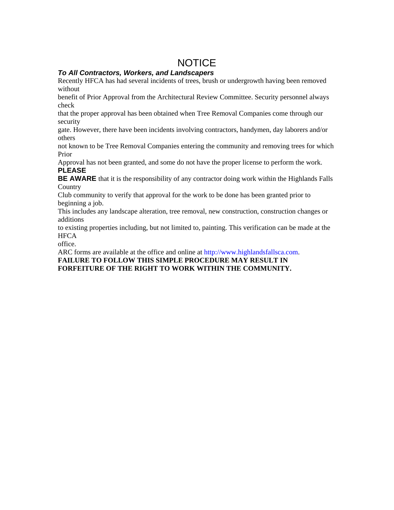# **NOTICE**

### *To All Contractors, Workers, and Landscapers*

Recently HFCA has had several incidents of trees, brush or undergrowth having been removed without

benefit of Prior Approval from the Architectural Review Committee. Security personnel always check

that the proper approval has been obtained when Tree Removal Companies come through our security

gate. However, there have been incidents involving contractors, handymen, day laborers and/or others

not known to be Tree Removal Companies entering the community and removing trees for which Prior

Approval has not been granted, and some do not have the proper license to perform the work. **PLEASE** 

**BE AWARE** that it is the responsibility of any contractor doing work within the Highlands Falls **Country** 

Club community to verify that approval for the work to be done has been granted prior to beginning a job.

This includes any landscape alteration, tree removal, new construction, construction changes or additions

to existing properties including, but not limited to, painting. This verification can be made at the **HFCA** 

office.

ARC forms are available at the office and online at http://www.highlandsfallsca.com. **FAILURE TO FOLLOW THIS SIMPLE PROCEDURE MAY RESULT IN FORFEITURE OF THE RIGHT TO WORK WITHIN THE COMMUNITY.**